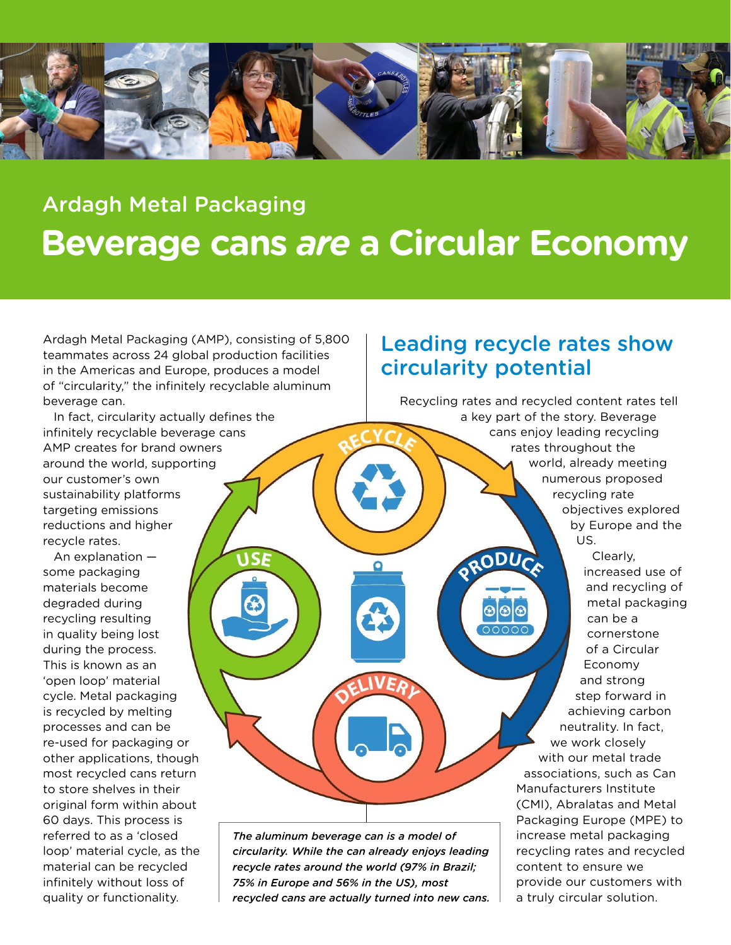

# Ardagh Metal Packaging **Beverage cans** *are* **a Circular Economy**

Ardagh Metal Packaging (AMP), consisting of 5,800 teammates across 24 global production facilities in the Americas and Europe, produces a model of "circularity," the infinitely recyclable aluminum beverage can.

USF

In fact, circularity actually defines the infinitely recyclable beverage cans AMP creates for brand owners around the world, supporting our customer's own sustainability platforms targeting emissions reductions and higher recycle rates.

An explanation some packaging materials become degraded during recycling resulting in quality being lost during the process. This is known as an 'open loop' material cycle. Metal packaging is recycled by melting processes and can be re-used for packaging or other applications, though most recycled cans return to store shelves in their original form within about 60 days. This process is referred to as a 'closed loop' material cycle, as the material can be recycled infinitely without loss of quality or functionality.

#### Leading recycle rates show circularity potential

Recycling rates and recycled content rates tell a key part of the story. Beverage cans enjoy leading recycling rates throughout the world, already meeting numerous proposed recycling rate objectives explored by Europe and the US. RODUCA Clearly, increased use of and recycling of metal packaging can be a cornerstone of a Circular Economy and strong step forward in achieving carbon neutrality. In fact, we work closely with our metal trade associations, such as Can Manufacturers Institute (CMI), Abralatas and Metal Packaging Europe (MPE) to increase metal packaging recycling rates and recycled content to ensure we provide our customers with a truly circular solution.

*The aluminum beverage can is a model of circularity. While the can already enjoys leading recycle rates around the world (97% in Brazil; 75% in Europe and 56% in the US), most recycled cans are actually turned into new cans.*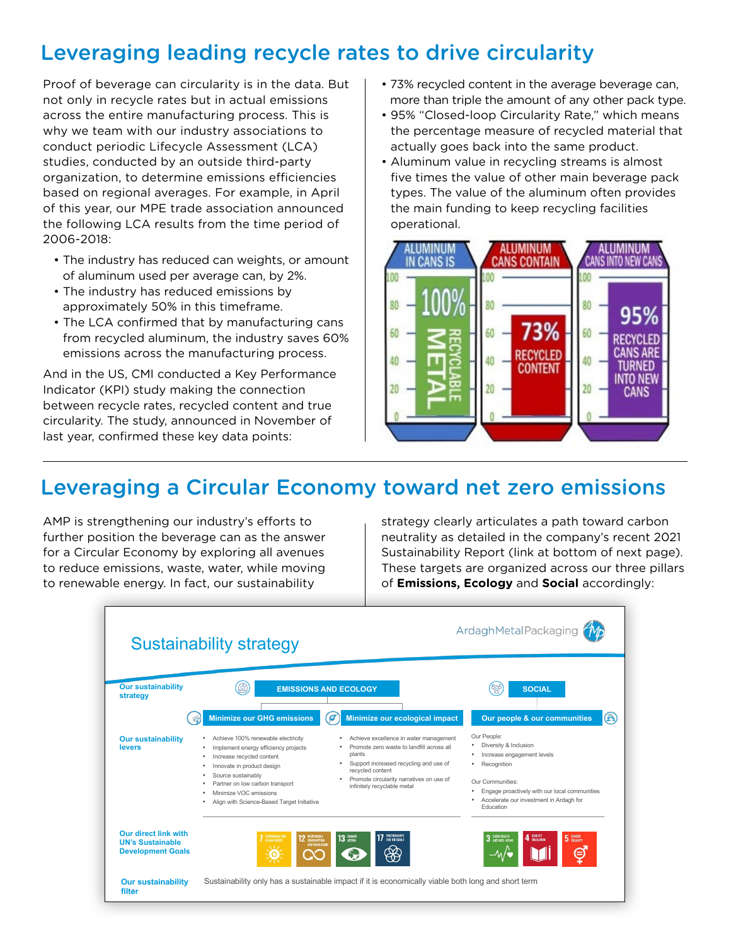## Leveraging leading recycle rates to drive circularity

Proof of beverage can circularity is in the data. But not only in recycle rates but in actual emissions across the entire manufacturing process. This is why we team with our industry associations to conduct periodic Lifecycle Assessment (LCA) studies, conducted by an outside third-party organization, to determine emissions efficiencies based on regional averages. For example, in April of this year, our MPE trade association announced the following LCA results from the time period of 2006-2018:

- The industry has reduced can weights, or amount of aluminum used per average can, by 2%.
- The industry has reduced emissions by approximately 50% in this timeframe.
- The LCA confirmed that by manufacturing cans from recycled aluminum, the industry saves 60% emissions across the manufacturing process.

And in the US, CMI conducted a Key Performance Indicator (KPI) study making the connection between recycle rates, recycled content and true circularity. The study, announced in November of last year, confirmed these key data points:

- 73% recycled content in the average beverage can, more than triple the amount of any other pack type.
- 95% "Closed-loop Circularity Rate," which means the percentage measure of recycled material that actually goes back into the same product.
- Aluminum value in recycling streams is almost five times the value of other main beverage pack types. The value of the aluminum often provides the main funding to keep recycling facilities operational.



#### Leveraging a Circular Economy toward net zero emissions

AMP is strengthening our industry's efforts to further position the beverage can as the answer for a Circular Economy by exploring all avenues to reduce emissions, waste, water, while moving to renewable energy. In fact, our sustainability

strategy clearly articulates a path toward carbon neutrality as detailed in the company's recent 2021 Sustainability Report (link at bottom of next page). These targets are organized across our three pillars of **Emissions, Ecology** and **Social** accordingly: